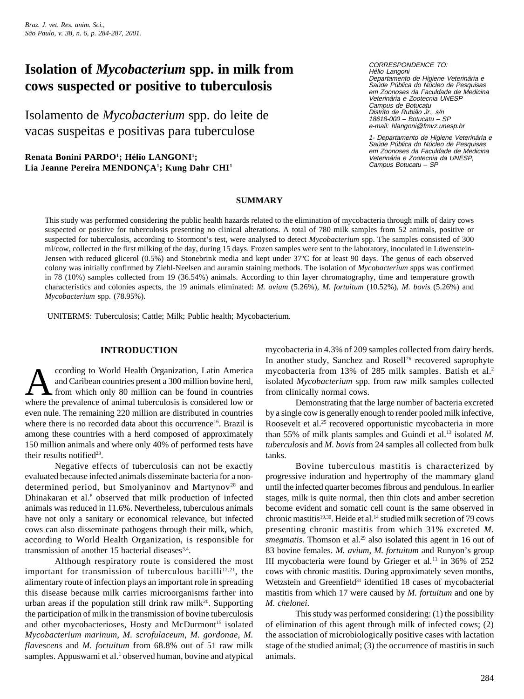*Braz. J. vet. Res. anim. Sci., São Paulo, v. 38, n. 6, p. 284-287, 2001.*

# **Isolation of** *Mycobacterium* **spp. in milk from cows suspected or positive to tuberculosis**

Isolamento de *Mycobacterium* spp. do leite de vacas suspeitas e positivas para tuberculose

**Renata Bonini PARDO1 ; Hélio LANGONI1 ; Lia Jeanne Pereira MENDONÇA1 ; Kung Dahr CHI1**

CORRESPONDENCE TO: Hélio Langoni Departamento de Higiene Veterinária e Saúde Pública do Núcleo de Pesquisas em Zoonoses da Faculdade de Medicina Veterinária e Zootecnia UNESP Campus de Botucatu Distrito de Rubião Jr., s/n 18618-000 – Botucatu – SP e-mail: hlangoni@fmvz.unesp.br

1- Departamento de Higiene Veterinária e Saúde Pública do Núcleo de Pesquisas em Zoonoses da Faculdade de Medicina Veterinária e Zootecnia da UNESP, Campus Botucatu – SP

#### **SUMMARY**

This study was performed considering the public health hazards related to the elimination of mycobacteria through milk of dairy cows suspected or positive for tuberculosis presenting no clinical alterations. A total of 780 milk samples from 52 animals, positive or suspected for tuberculosis, according to Stormont's test, were analysed to detect *Mycobacterium* spp. The samples consisted of 300 ml/cow, collected in the first milking of the day, during 15 days. Frozen samples were sent to the laboratory, inoculated in Löwenstein-Jensen with reduced glicerol (0.5%) and Stonebrink media and kept under 37ºC for at least 90 days. The genus of each observed colony was initially confirmed by Ziehl-Neelsen and auramin staining methods. The isolation of *Mycobacterium* spps was confirmed in 78 (10%) samples collected from 19 (36.54%) animals. According to thin layer chromatography, time and temperature growth characteristics and colonies aspects, the 19 animals eliminated: *M. avium* (5.26%), *M. fortuitum* (10.52%), *M. bovis* (5.26%) and *Mycobacterium* spp. (78.95%).

UNITERMS: Tuberculosis; Cattle; Milk; Public health; Mycobacterium.

#### **INTRODUCTION**

cording to World Health Organization, Latin America<br>and Caribean countries present a 300 million bovine herd,<br>trom which only 80 million can be found in countries<br>where the prevalence of animal tuberculosis is considered l ccording to World Health Organization, Latin America and Caribean countries present a 300 million bovine herd, from which only 80 million can be found in countries even nule. The remaining 220 million are distributed in countries where there is no recorded data about this occurrence<sup>16</sup>. Brazil is among these countries with a herd composed of approximately 150 million animals and where only 40% of performed tests have their results notified<sup>23</sup>.

Negative effects of tuberculosis can not be exactly evaluated because infected animals disseminate bacteria for a nondetermined period, but Smolyaninov and Martynov<sup>28</sup> and Dhinakaran et al.8 observed that milk production of infected animals was reduced in 11.6%. Nevertheless, tuberculous animals have not only a sanitary or economical relevance, but infected cows can also disseminate pathogens through their milk, which, according to World Health Organization, is responsible for transmission of another 15 bacterial diseases $3,4$ .

Although respiratory route is considered the most important for transmission of tuberculous bacilli<sup>12,21</sup>, the alimentary route of infection plays an important role in spreading this disease because milk carries microorganisms farther into urban areas if the population still drink raw milk<sup>20</sup>. Supporting the participation of milk in the transmission of bovine tuberculosis and other mycobacterioses, Hosty and McDurmont<sup>15</sup> isolated *Mycobacterium marinum*, *M. scrofulaceum*, *M. gordonae*, *M. flavescens* and *M. fortuitum* from 68.8% out of 51 raw milk samples. Appuswami et al.<sup>1</sup> observed human, bovine and atypical

mycobacteria in 4.3% of 209 samples collected from dairy herds. In another study, Sanchez and Rosell<sup>26</sup> recovered saprophyte mycobacteria from 13% of 285 milk samples. Batish et al.2 isolated *Mycobacterium* spp. from raw milk samples collected from clinically normal cows.

Demonstrating that the large number of bacteria excreted by a single cow is generally enough to render pooled milk infective, Roosevelt et al.<sup>25</sup> recovered opportunistic mycobacteria in more than 55% of milk plants samples and Guindi et al.<sup>13</sup> isolated *M*. *tuberculosis* and *M. bovis* from 24 samples all collected from bulk tanks.

Bovine tuberculous mastitis is characterized by progressive induration and hypertrophy of the mammary gland until the infected quarter becomes fibrous and pendulous. In earlier stages, milk is quite normal, then thin clots and amber secretion become evident and somatic cell count is the same observed in chronic mastitis<sup>19,30</sup>. Heide et al.<sup>14</sup> studied milk secretion of 79 cows presenting chronic mastitis from which 31% excreted *M. smegmatis*. Thomson et al.<sup>29</sup> also isolated this agent in 16 out of 83 bovine females. *M. avium, M. fortuitum* and Runyon's group III mycobacteria were found by Grieger et al.<sup>11</sup> in  $36\%$  of  $252$ cows with chronic mastitis. During approximately seven months, Wetzstein and Greenfield $31$  identified 18 cases of mycobacterial mastitis from which 17 were caused by *M. fortuitum* and one by *M. chelonei*.

This study was performed considering: (1) the possibility of elimination of this agent through milk of infected cows; (2) the association of microbiologically positive cases with lactation stage of the studied animal; (3) the occurrence of mastitis in such animals.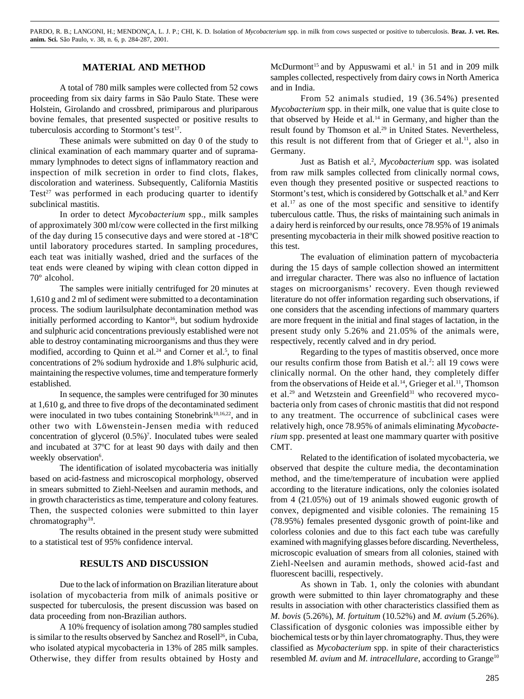PARDO, R. B.; LANGONI, H.; MENDONÇA, L. J. P.; CHI, K. D. Isolation of *Mycobacterium* spp. in milk from cows suspected or positive to tuberculosis. **Braz. J. vet. Res. anim. Sci.** São Paulo, v. 38, n. 6, p. 284-287, 2001.

#### **MATERIAL AND METHOD**

A total of 780 milk samples were collected from 52 cows proceeding from six dairy farms in São Paulo State. These were Holstein, Girolando and crossbred, primiparous and pluriparous bovine females, that presented suspected or positive results to tuberculosis according to Stormont's test<sup>17</sup>.

These animals were submitted on day 0 of the study to clinical examination of each mammary quarter and of supramammary lymphnodes to detect signs of inflammatory reaction and inspection of milk secretion in order to find clots, flakes, discoloration and wateriness. Subsequently, California Mastitis Test<sup>27</sup> was performed in each producing quarter to identify subclinical mastitis.

In order to detect *Mycobacterium* spp., milk samples of approximately 300 ml/cow were collected in the first milking of the day during 15 consecutive days and were stored at -18ºC until laboratory procedures started. In sampling procedures, each teat was initially washed, dried and the surfaces of the teat ends were cleaned by wiping with clean cotton dipped in 70º alcohol.

The samples were initially centrifuged for 20 minutes at 1,610 g and 2 ml of sediment were submitted to a decontamination process. The sodium laurilsulphate decontamination method was initially performed according to Kantor<sup>16</sup>, but sodium hydroxide and sulphuric acid concentrations previously established were not able to destroy contaminating microorganisms and thus they were modified, according to Quinn et al. $24$  and Corner et al.<sup>5</sup>, to final concentrations of 2% sodium hydroxide and 1.8% sulphuric acid, maintaining the respective volumes, time and temperature formerly established.

In sequence, the samples were centrifuged for 30 minutes at 1,610 g, and three to five drops of the decontaminated sediment were inoculated in two tubes containing Stonebrink<sup>10,16,22</sup>, and in other two with Löwenstein-Jensen media with reduced concentration of glycerol (0.5%)7 . Inoculated tubes were sealed and incubated at 37ºC for at least 90 days with daily and then weekly observation<sup>6</sup>.

The identification of isolated mycobacteria was initially based on acid-fastness and microscopical morphology, observed in smears submitted to Ziehl-Neelsen and auramin methods, and in growth characteristics as time, temperature and colony features. Then, the suspected colonies were submitted to thin layer chromatography<sup>18</sup>.

The results obtained in the present study were submitted to a statistical test of 95% confidence interval.

### **RESULTS AND DISCUSSION**

Due to the lack of information on Brazilian literature about isolation of mycobacteria from milk of animals positive or suspected for tuberculosis, the present discussion was based on data proceeding from non-Brazilian authors.

A 10% frequency of isolation among 780 samples studied is similar to the results observed by Sanchez and Rosell<sup>26</sup>, in Cuba, who isolated atypical mycobacteria in 13% of 285 milk samples. Otherwise, they differ from results obtained by Hosty and

McDurmont<sup>15</sup> and by Appuswami et al.<sup>1</sup> in 51 and in 209 milk samples collected, respectively from dairy cows in North America and in India.

From 52 animals studied, 19 (36.54%) presented *Mycobacterium* spp. in their milk, one value that is quite close to that observed by Heide et al.<sup>14</sup> in Germany, and higher than the result found by Thomson et al.<sup>29</sup> in United States. Nevertheless, this result is not different from that of Grieger et al.<sup>11</sup>, also in Germany.

Just as Batish et al.<sup>2</sup>, *Mycobacterium* spp. was isolated from raw milk samples collected from clinically normal cows, even though they presented positive or suspected reactions to Stormont's test, which is considered by Gottschalk et al.<sup>9</sup> and Kerr et al.<sup>17</sup> as one of the most specific and sensitive to identify tuberculous cattle. Thus, the risks of maintaining such animals in a dairy herd is reinforced by our results, once 78.95% of 19 animals presenting mycobacteria in their milk showed positive reaction to this test.

The evaluation of elimination pattern of mycobacteria during the 15 days of sample collection showed an intermittent and irregular character. There was also no influence of lactation stages on microorganisms' recovery. Even though reviewed literature do not offer information regarding such observations, if one considers that the ascending infections of mammary quarters are more frequent in the initial and final stages of lactation, in the present study only 5.26% and 21.05% of the animals were, respectively, recently calved and in dry period.

Regarding to the types of mastitis observed, once more our results confirm those from Batish et al.<sup>2</sup>: all 19 cows were clinically normal. On the other hand, they completely differ from the observations of Heide et al.<sup>14</sup>, Grieger et al.<sup>11</sup>, Thomson et al.<sup>29</sup> and Wetzstein and Greenfield<sup>31</sup> who recovered mycobacteria only from cases of chronic mastitis that did not respond to any treatment. The occurrence of subclinical cases were relatively high, once 78.95% of animals eliminating *Mycobacterium* spp. presented at least one mammary quarter with positive CMT.

Related to the identification of isolated mycobacteria, we observed that despite the culture media, the decontamination method, and the time/temperature of incubation were applied according to the literature indications, only the colonies isolated from 4 (21.05%) out of 19 animals showed eugonic growth of convex, depigmented and visible colonies. The remaining 15 (78.95%) females presented dysgonic growth of point-like and colorless colonies and due to this fact each tube was carefully examined with magnifying glasses before discarding. Nevertheless, microscopic evaluation of smears from all colonies, stained with Ziehl-Neelsen and auramin methods, showed acid-fast and fluorescent bacilli, respectively.

As shown in Tab. 1, only the colonies with abundant growth were submitted to thin layer chromatography and these results in association with other characteristics classified them as *M. bovis* (5.26%), *M. fortuitum* (10.52%) and *M. avium* (5.26%). Classification of dysgonic colonies was impossible either by biochemical tests or by thin layer chromatography. Thus, they were classified as *Mycobacterium* spp. in spite of their characteristics resembled *M. avium* and *M. intracellulare*, according to Grange<sup>10</sup>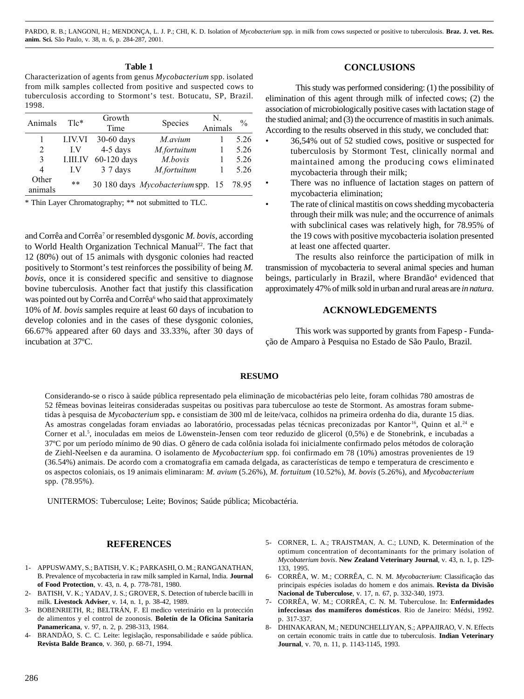PARDO, R. B.; LANGONI, H.; MENDONÇA, L. J. P.; CHI, K. D. Isolation of *Mycobacterium* spp. in milk from cows suspected or positive to tuberculosis. **Braz. J. vet. Res. anim. Sci.** São Paulo, v. 38, n. 6, p. 284-287, 2001.

#### **Table 1**

Characterization of agents from genus *Mycobacterium* spp. isolated from milk samples collected from positive and suspected cows to tuberculosis according to Stormont's test. Botucatu, SP, Brazil. 1998.

| Animals          | $Tlc^*$         | Growth      | <b>Species</b>                           | N       | $\frac{0}{0}$ |
|------------------|-----------------|-------------|------------------------------------------|---------|---------------|
|                  |                 | Time        |                                          | Animals |               |
|                  | <b>LIV.VI</b>   | 30-60 days  | M.avium                                  |         | 5.26          |
| 2                | LV              | 4-5 days    | M.fortuitum                              |         | 5.26          |
| 3                | <b>LIILIV</b>   | 60-120 days | M.bovis                                  |         | 5.26          |
| 4                | LV              | 3 7 days    | M.fortuitum                              |         | 5.26          |
| Other<br>animals | $\star$ $\star$ |             | 30 180 days <i>Mycobacterium</i> spp. 15 |         | 78.95         |

\* Thin Layer Chromatography; \*\* not submitted to TLC.

and Corrêa and Corrêa<sup>7</sup> or resembled dysgonic *M. bovis*, according to World Health Organization Technical Manual<sup>22</sup>. The fact that 12 (80%) out of 15 animals with dysgonic colonies had reacted positively to Stormont's test reinforces the possibility of being *M. bovis*, once it is considered specific and sensitive to diagnose bovine tuberculosis. Another fact that justify this classification was pointed out by Corrêa and Corrêa<sup>6</sup> who said that approximately 10% of *M. bovis* samples require at least 60 days of incubation to develop colonies and in the cases of these dysgonic colonies, 66.67% appeared after 60 days and 33.33%, after 30 days of incubation at 37ºC.

#### **CONCLUSIONS**

This study was performed considering: (1) the possibility of elimination of this agent through milk of infected cows; (2) the association of microbiologically positive cases with lactation stage of the studied animal; and (3) the occurrence of mastitis in such animals. According to the results observed in this study, we concluded that:

- 36,54% out of 52 studied cows, positive or suspected for tuberculosis by Stormont Test, clinically normal and maintained among the producing cows eliminated mycobacteria through their milk;
- There was no influence of lactation stages on pattern of mycobacteria elimination;
- The rate of clinical mastitis on cows shedding mycobacteria through their milk was nule; and the occurrence of animals with subclinical cases was relatively high, for 78.95% of the 19 cows with positive mycobacteria isolation presented at least one affected quarter.

The results also reinforce the participation of milk in transmission of mycobacteria to several animal species and human beings, particularly in Brazil, where Brandão<sup>4</sup> evidenced that approximately 47% of milk sold in urban and rural areas are *in natura*.

#### **ACKNOWLEDGEMENTS**

This work was supported by grants from Fapesp - Fundação de Amparo à Pesquisa no Estado de São Paulo, Brazil.

#### **RESUMO**

Considerando-se o risco à saúde pública representado pela eliminação de micobactérias pelo leite, foram colhidas 780 amostras de 52 fêmeas bovinas leiteiras consideradas suspeitas ou positivas para tuberculose ao teste de Stormont. As amostras foram submetidas à pesquisa de *Mycobacterium* spp**.** e consistiam de 300 ml de leite/vaca, colhidos na primeira ordenha do dia, durante 15 dias. As amostras congeladas foram enviadas ao laboratório, processadas pelas técnicas preconizadas por Kantor<sup>16</sup>, Quinn et al.<sup>24</sup> e Corner et al.5 , inoculadas em meios de Löwenstein-Jensen com teor reduzido de glicerol (0,5%) e de Stonebrink, e incubadas a 37ºC por um período mínimo de 90 dias. O gênero de cada colônia isolada foi inicialmente confirmado pelos métodos de coloração de Ziehl-Neelsen e da auramina. O isolamento de *Mycobacterium* spp. foi confirmado em 78 (10%) amostras provenientes de 19 (36.54%) animais. De acordo com a cromatografia em camada delgada, as características de tempo e temperatura de crescimento e os aspectos coloniais, os 19 animais eliminaram: *M. avium* (5.26%), *M. fortuitum* (10.52%), *M. bovis* (5.26%), and *Mycobacterium* spp. (78.95%).

UNITERMOS: Tuberculose; Leite; Bovinos; Saúde pública; Micobactéria.

#### **REFERENCES**

- 1- APPUSWAMY, S.; BATISH, V. K.; PARKASHI, O. M.; RANGANATHAN, B. Prevalence of mycobacteria in raw milk sampled in Karnal, India. **Journal of Food Protection**, v. 43, n. 4, p. 778-781, 1980.
- 2- BATISH, V. K.; YADAV, J. S.; GROVER, S. Detection of tubercle bacilli in milk. **Livestock Adviser**, v. 14, n. 1, p. 38-42, 1989.
- 3- BOBENRIETH, R.; BELTRÁN, F. El medico veterinário en la protección de alimentos y el control de zoonosis. **Boletín de la Oficina Sanitaria Panamericana**, v. 97, n. 2, p. 298-313, 1984.
- 4- BRANDÃO, S. C. C. Leite: legislação, responsabilidade e saúde pública. **Revista Balde Branco**, v. 360, p. 68-71, 1994.
- 5- CORNER, L. A.; TRAJSTMAN, A. C.; LUND, K. Determination of the optimum concentration of decontaminants for the primary isolation of *Mycobaterium bovis*. **New Zealand Veterinary Journal**, v. 43, n. 1, p. 129- 133, 1995.
- 6- CORRÊA, W. M.; CORRÊA, C. N. M. *Mycobacterium*: Classificação das principais espécies isoladas do homem e dos animais. **Revista da Divisão Nacional de Tuberculose**, v. 17, n. 67, p. 332-340, 1973.
- 7- CORRÊA, W. M.; CORRÊA, C. N. M. Tuberculose. In: **Enfermidades infecciosas dos mamíferos domésticos**. Rio de Janeiro: Médsi, 1992. p. 317-337.
- 8- DHINAKARAN, M.; NEDUNCHELLIYAN, S.; APPAJIRAO, V. N. Effects on certain economic traits in cattle due to tuberculosis. **Indian Veterinary Journal**, v. 70, n. 11, p. 1143-1145, 1993.